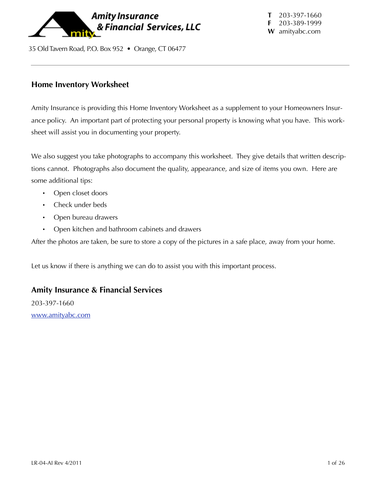

35 Old Tavern Road, P.O. Box 952 • Orange, CT 06477

### **Home Inventory Worksheet**

Amity Insurance is providing this Home Inventory Worksheet as a supplement to your Homeowners Insurance policy. An important part of protecting your personal property is knowing what you have. This worksheet will assist you in documenting your property.

We also suggest you take photographs to accompany this worksheet. They give details that written descriptions cannot. Photographs also document the quality, appearance, and size of items you own. Here are some additional tips:

- Open closet doors
- Check under beds
- Open bureau drawers
- Open kitchen and bathroom cabinets and drawers

After the photos are taken, be sure to store a copy of the pictures in a safe place, away from your home.

Let us know if there is anything we can do to assist you with this important process.

#### **Amity Insurance & Financial Services**

203-397-1660 [www.amityabc.com](http://www.amityabc.com)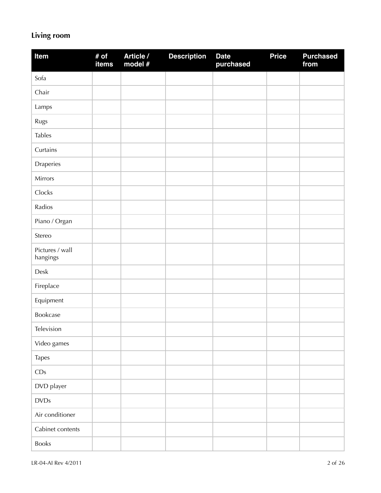# **Living room**

| Item                        | # of<br>items | Article /<br>model # | <b>Description</b> | <b>Date</b><br>purchased | <b>Price</b> | <b>Purchased</b><br>from |
|-----------------------------|---------------|----------------------|--------------------|--------------------------|--------------|--------------------------|
| Sofa                        |               |                      |                    |                          |              |                          |
| Chair                       |               |                      |                    |                          |              |                          |
| Lamps                       |               |                      |                    |                          |              |                          |
| Rugs                        |               |                      |                    |                          |              |                          |
| <b>Tables</b>               |               |                      |                    |                          |              |                          |
| Curtains                    |               |                      |                    |                          |              |                          |
| Draperies                   |               |                      |                    |                          |              |                          |
| Mirrors                     |               |                      |                    |                          |              |                          |
| Clocks                      |               |                      |                    |                          |              |                          |
| Radios                      |               |                      |                    |                          |              |                          |
| Piano / Organ               |               |                      |                    |                          |              |                          |
| Stereo                      |               |                      |                    |                          |              |                          |
| Pictures / wall<br>hangings |               |                      |                    |                          |              |                          |
| Desk                        |               |                      |                    |                          |              |                          |
| Fireplace                   |               |                      |                    |                          |              |                          |
| Equipment                   |               |                      |                    |                          |              |                          |
| Bookcase                    |               |                      |                    |                          |              |                          |
| Television                  |               |                      |                    |                          |              |                          |
| Video games                 |               |                      |                    |                          |              |                          |
| Tapes                       |               |                      |                    |                          |              |                          |
| CDs                         |               |                      |                    |                          |              |                          |
| DVD player                  |               |                      |                    |                          |              |                          |
| <b>DVDs</b>                 |               |                      |                    |                          |              |                          |
| Air conditioner             |               |                      |                    |                          |              |                          |
| Cabinet contents            |               |                      |                    |                          |              |                          |
| Books                       |               |                      |                    |                          |              |                          |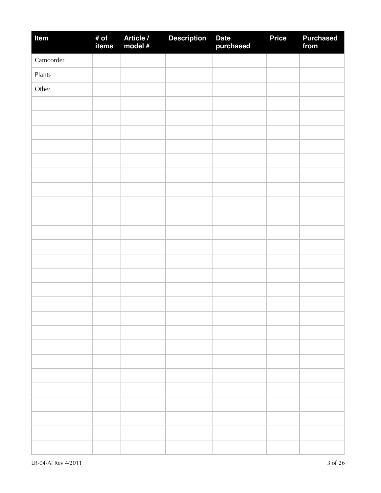| Item      | # of<br>items | Article /<br>model # | <b>Description</b> | Date<br>purchased | <b>Price</b> | <b>Purchased</b><br>from |
|-----------|---------------|----------------------|--------------------|-------------------|--------------|--------------------------|
| Camcorder |               |                      |                    |                   |              |                          |
| Plants    |               |                      |                    |                   |              |                          |
| Other     |               |                      |                    |                   |              |                          |
|           |               |                      |                    |                   |              |                          |
|           |               |                      |                    |                   |              |                          |
|           |               |                      |                    |                   |              |                          |
|           |               |                      |                    |                   |              |                          |
|           |               |                      |                    |                   |              |                          |
|           |               |                      |                    |                   |              |                          |
|           |               |                      |                    |                   |              |                          |
|           |               |                      |                    |                   |              |                          |
|           |               |                      |                    |                   |              |                          |
|           |               |                      |                    |                   |              |                          |
|           |               |                      |                    |                   |              |                          |
|           |               |                      |                    |                   |              |                          |
|           |               |                      |                    |                   |              |                          |
|           |               |                      |                    |                   |              |                          |
|           |               |                      |                    |                   |              |                          |
|           |               |                      |                    |                   |              |                          |
|           |               |                      |                    |                   |              |                          |
|           |               |                      |                    |                   |              |                          |
|           |               |                      |                    |                   |              |                          |
|           |               |                      |                    |                   |              |                          |
|           |               |                      |                    |                   |              |                          |
|           |               |                      |                    |                   |              |                          |
|           |               |                      |                    |                   |              |                          |
|           |               |                      |                    |                   |              |                          |
|           |               |                      |                    |                   |              |                          |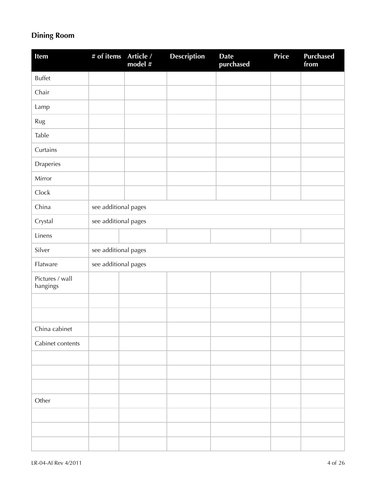## **Dining Room**

| <b>Item</b>                 | # of items           | Article /<br>model # | <b>Description</b> | <b>Date</b><br>purchased | Price | <b>Purchased</b><br>from |
|-----------------------------|----------------------|----------------------|--------------------|--------------------------|-------|--------------------------|
| <b>Buffet</b>               |                      |                      |                    |                          |       |                          |
| Chair                       |                      |                      |                    |                          |       |                          |
| Lamp                        |                      |                      |                    |                          |       |                          |
| Rug                         |                      |                      |                    |                          |       |                          |
| Table                       |                      |                      |                    |                          |       |                          |
| Curtains                    |                      |                      |                    |                          |       |                          |
| Draperies                   |                      |                      |                    |                          |       |                          |
| Mirror                      |                      |                      |                    |                          |       |                          |
| Clock                       |                      |                      |                    |                          |       |                          |
| China                       | see additional pages |                      |                    |                          |       |                          |
| Crystal                     | see additional pages |                      |                    |                          |       |                          |
| Linens                      |                      |                      |                    |                          |       |                          |
| Silver                      | see additional pages |                      |                    |                          |       |                          |
| Flatware                    | see additional pages |                      |                    |                          |       |                          |
| Pictures / wall<br>hangings |                      |                      |                    |                          |       |                          |
|                             |                      |                      |                    |                          |       |                          |
|                             |                      |                      |                    |                          |       |                          |
| China cabinet               |                      |                      |                    |                          |       |                          |
| Cabinet contents            |                      |                      |                    |                          |       |                          |
|                             |                      |                      |                    |                          |       |                          |
|                             |                      |                      |                    |                          |       |                          |
|                             |                      |                      |                    |                          |       |                          |
| Other                       |                      |                      |                    |                          |       |                          |
|                             |                      |                      |                    |                          |       |                          |
|                             |                      |                      |                    |                          |       |                          |
|                             |                      |                      |                    |                          |       |                          |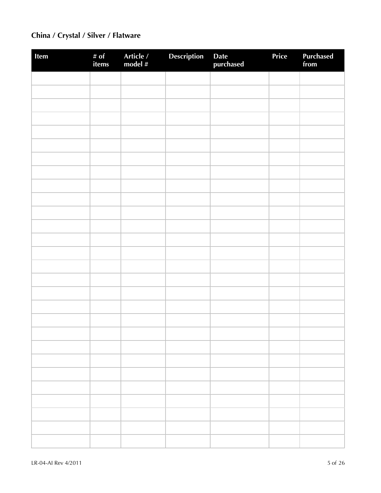## **China / Crystal / Silver / Flatware**

| Item | # of<br>items | Article /<br>model # | Description | Date<br>purchased | Price | <b>Purchased</b><br>from |
|------|---------------|----------------------|-------------|-------------------|-------|--------------------------|
|      |               |                      |             |                   |       |                          |
|      |               |                      |             |                   |       |                          |
|      |               |                      |             |                   |       |                          |
|      |               |                      |             |                   |       |                          |
|      |               |                      |             |                   |       |                          |
|      |               |                      |             |                   |       |                          |
|      |               |                      |             |                   |       |                          |
|      |               |                      |             |                   |       |                          |
|      |               |                      |             |                   |       |                          |
|      |               |                      |             |                   |       |                          |
|      |               |                      |             |                   |       |                          |
|      |               |                      |             |                   |       |                          |
|      |               |                      |             |                   |       |                          |
|      |               |                      |             |                   |       |                          |
|      |               |                      |             |                   |       |                          |
|      |               |                      |             |                   |       |                          |
|      |               |                      |             |                   |       |                          |
|      |               |                      |             |                   |       |                          |
|      |               |                      |             |                   |       |                          |
|      |               |                      |             |                   |       |                          |
|      |               |                      |             |                   |       |                          |
|      |               |                      |             |                   |       |                          |
|      |               |                      |             |                   |       |                          |
|      |               |                      |             |                   |       |                          |
|      |               |                      |             |                   |       |                          |
|      |               |                      |             |                   |       |                          |
|      |               |                      |             |                   |       |                          |
|      |               |                      |             |                   |       |                          |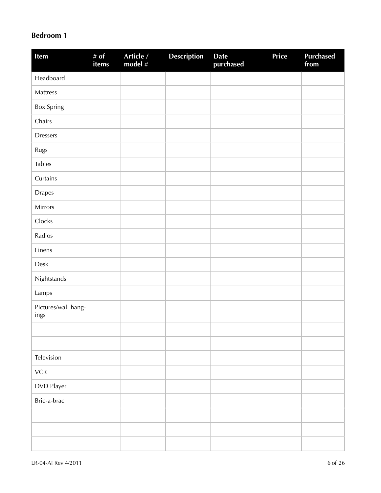### **Bedroom 1**

| Item                        | # of<br>items | Article /<br>model # | <b>Description</b> | <b>Date</b><br>purchased | <b>Price</b> | <b>Purchased</b><br>from |
|-----------------------------|---------------|----------------------|--------------------|--------------------------|--------------|--------------------------|
| Headboard                   |               |                      |                    |                          |              |                          |
| Mattress                    |               |                      |                    |                          |              |                          |
| <b>Box Spring</b>           |               |                      |                    |                          |              |                          |
| Chairs                      |               |                      |                    |                          |              |                          |
| <b>Dressers</b>             |               |                      |                    |                          |              |                          |
| Rugs                        |               |                      |                    |                          |              |                          |
| <b>Tables</b>               |               |                      |                    |                          |              |                          |
| Curtains                    |               |                      |                    |                          |              |                          |
| <b>Drapes</b>               |               |                      |                    |                          |              |                          |
| Mirrors                     |               |                      |                    |                          |              |                          |
| Clocks                      |               |                      |                    |                          |              |                          |
| Radios                      |               |                      |                    |                          |              |                          |
| Linens                      |               |                      |                    |                          |              |                          |
| Desk                        |               |                      |                    |                          |              |                          |
| Nightstands                 |               |                      |                    |                          |              |                          |
| Lamps                       |               |                      |                    |                          |              |                          |
| Pictures/wall hang-<br>ings |               |                      |                    |                          |              |                          |
|                             |               |                      |                    |                          |              |                          |
|                             |               |                      |                    |                          |              |                          |
| Television                  |               |                      |                    |                          |              |                          |
| ${\sf VCR}$                 |               |                      |                    |                          |              |                          |
| DVD Player                  |               |                      |                    |                          |              |                          |
| Bric-a-brac                 |               |                      |                    |                          |              |                          |
|                             |               |                      |                    |                          |              |                          |
|                             |               |                      |                    |                          |              |                          |
|                             |               |                      |                    |                          |              |                          |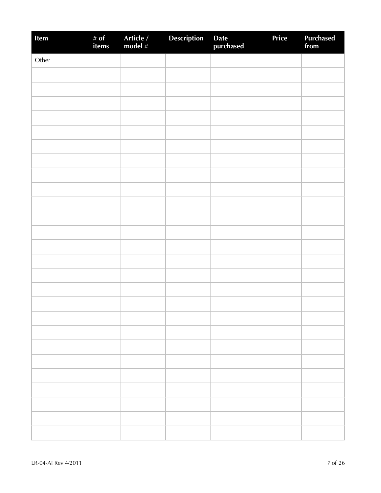| Item  | # of<br>items | Article /<br>model # | <b>Description</b> | Date<br>purchased | Price | Purchased<br>from |
|-------|---------------|----------------------|--------------------|-------------------|-------|-------------------|
| Other |               |                      |                    |                   |       |                   |
|       |               |                      |                    |                   |       |                   |
|       |               |                      |                    |                   |       |                   |
|       |               |                      |                    |                   |       |                   |
|       |               |                      |                    |                   |       |                   |
|       |               |                      |                    |                   |       |                   |
|       |               |                      |                    |                   |       |                   |
|       |               |                      |                    |                   |       |                   |
|       |               |                      |                    |                   |       |                   |
|       |               |                      |                    |                   |       |                   |
|       |               |                      |                    |                   |       |                   |
|       |               |                      |                    |                   |       |                   |
|       |               |                      |                    |                   |       |                   |
|       |               |                      |                    |                   |       |                   |
|       |               |                      |                    |                   |       |                   |
|       |               |                      |                    |                   |       |                   |
|       |               |                      |                    |                   |       |                   |
|       |               |                      |                    |                   |       |                   |
|       |               |                      |                    |                   |       |                   |
|       |               |                      |                    |                   |       |                   |
|       |               |                      |                    |                   |       |                   |
|       |               |                      |                    |                   |       |                   |
|       |               |                      |                    |                   |       |                   |
|       |               |                      |                    |                   |       |                   |
|       |               |                      |                    |                   |       |                   |
|       |               |                      |                    |                   |       |                   |
|       |               |                      |                    |                   |       |                   |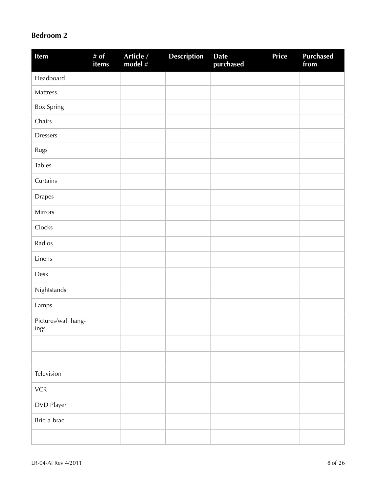### **Bedroom 2**

| Item                        | # of<br>items | Article /<br>model $#$ | <b>Description</b> | <b>Date</b><br>purchased | Price | <b>Purchased</b><br>from |
|-----------------------------|---------------|------------------------|--------------------|--------------------------|-------|--------------------------|
| Headboard                   |               |                        |                    |                          |       |                          |
| Mattress                    |               |                        |                    |                          |       |                          |
| Box Spring                  |               |                        |                    |                          |       |                          |
| Chairs                      |               |                        |                    |                          |       |                          |
| <b>Dressers</b>             |               |                        |                    |                          |       |                          |
| Rugs                        |               |                        |                    |                          |       |                          |
| <b>Tables</b>               |               |                        |                    |                          |       |                          |
| Curtains                    |               |                        |                    |                          |       |                          |
| Drapes                      |               |                        |                    |                          |       |                          |
| Mirrors                     |               |                        |                    |                          |       |                          |
| Clocks                      |               |                        |                    |                          |       |                          |
| Radios                      |               |                        |                    |                          |       |                          |
| Linens                      |               |                        |                    |                          |       |                          |
| Desk                        |               |                        |                    |                          |       |                          |
| Nightstands                 |               |                        |                    |                          |       |                          |
| Lamps                       |               |                        |                    |                          |       |                          |
| Pictures/wall hang-<br>ings |               |                        |                    |                          |       |                          |
|                             |               |                        |                    |                          |       |                          |
|                             |               |                        |                    |                          |       |                          |
| Television                  |               |                        |                    |                          |       |                          |
| ${\sf VCR}$                 |               |                        |                    |                          |       |                          |
| DVD Player                  |               |                        |                    |                          |       |                          |
| Bric-a-brac                 |               |                        |                    |                          |       |                          |
|                             |               |                        |                    |                          |       |                          |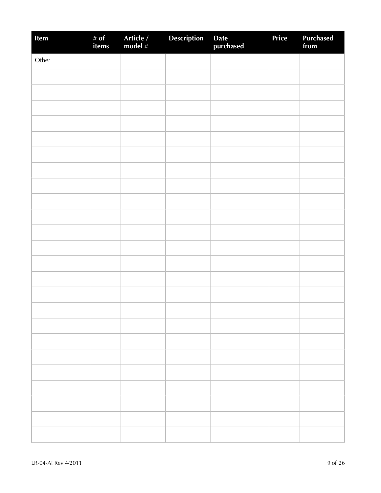| Item  | # of<br>items | Article /<br>model # | Description | Date<br>purchased | Price | <b>Purchased</b><br>from |
|-------|---------------|----------------------|-------------|-------------------|-------|--------------------------|
| Other |               |                      |             |                   |       |                          |
|       |               |                      |             |                   |       |                          |
|       |               |                      |             |                   |       |                          |
|       |               |                      |             |                   |       |                          |
|       |               |                      |             |                   |       |                          |
|       |               |                      |             |                   |       |                          |
|       |               |                      |             |                   |       |                          |
|       |               |                      |             |                   |       |                          |
|       |               |                      |             |                   |       |                          |
|       |               |                      |             |                   |       |                          |
|       |               |                      |             |                   |       |                          |
|       |               |                      |             |                   |       |                          |
|       |               |                      |             |                   |       |                          |
|       |               |                      |             |                   |       |                          |
|       |               |                      |             |                   |       |                          |
|       |               |                      |             |                   |       |                          |
|       |               |                      |             |                   |       |                          |
|       |               |                      |             |                   |       |                          |
|       |               |                      |             |                   |       |                          |
|       |               |                      |             |                   |       |                          |
|       |               |                      |             |                   |       |                          |
|       |               |                      |             |                   |       |                          |
|       |               |                      |             |                   |       |                          |
|       |               |                      |             |                   |       |                          |
|       |               |                      |             |                   |       |                          |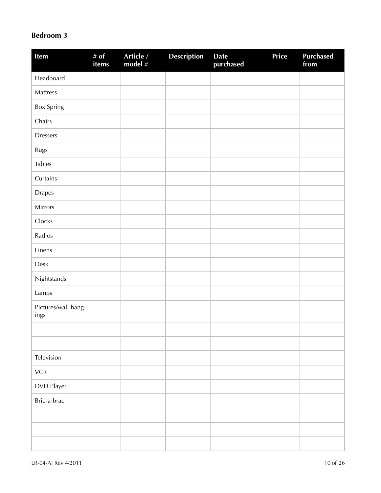#### **Bedroom 3**

| Item                        | # $of$<br>items | Article /<br>model # | <b>Description</b> | <b>Date</b><br>purchased | Price | <b>Purchased</b><br>from |
|-----------------------------|-----------------|----------------------|--------------------|--------------------------|-------|--------------------------|
| Headboard                   |                 |                      |                    |                          |       |                          |
| Mattress                    |                 |                      |                    |                          |       |                          |
| <b>Box Spring</b>           |                 |                      |                    |                          |       |                          |
| Chairs                      |                 |                      |                    |                          |       |                          |
| <b>Dressers</b>             |                 |                      |                    |                          |       |                          |
| Rugs                        |                 |                      |                    |                          |       |                          |
| <b>Tables</b>               |                 |                      |                    |                          |       |                          |
| Curtains                    |                 |                      |                    |                          |       |                          |
| Drapes                      |                 |                      |                    |                          |       |                          |
| Mirrors                     |                 |                      |                    |                          |       |                          |
| Clocks                      |                 |                      |                    |                          |       |                          |
| Radios                      |                 |                      |                    |                          |       |                          |
| Linens                      |                 |                      |                    |                          |       |                          |
| Desk                        |                 |                      |                    |                          |       |                          |
| Nightstands                 |                 |                      |                    |                          |       |                          |
| Lamps                       |                 |                      |                    |                          |       |                          |
| Pictures/wall hang-<br>ings |                 |                      |                    |                          |       |                          |
|                             |                 |                      |                    |                          |       |                          |
|                             |                 |                      |                    |                          |       |                          |
| Television                  |                 |                      |                    |                          |       |                          |
| ${\sf VCR}$                 |                 |                      |                    |                          |       |                          |
| DVD Player                  |                 |                      |                    |                          |       |                          |
| Bric-a-brac                 |                 |                      |                    |                          |       |                          |
|                             |                 |                      |                    |                          |       |                          |
|                             |                 |                      |                    |                          |       |                          |
|                             |                 |                      |                    |                          |       |                          |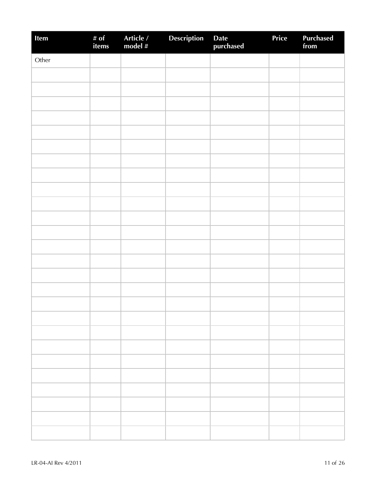| Item  | # of<br>items | Article /<br>model # | Description | Date<br>purchased | Price | Purchased<br>from |
|-------|---------------|----------------------|-------------|-------------------|-------|-------------------|
| Other |               |                      |             |                   |       |                   |
|       |               |                      |             |                   |       |                   |
|       |               |                      |             |                   |       |                   |
|       |               |                      |             |                   |       |                   |
|       |               |                      |             |                   |       |                   |
|       |               |                      |             |                   |       |                   |
|       |               |                      |             |                   |       |                   |
|       |               |                      |             |                   |       |                   |
|       |               |                      |             |                   |       |                   |
|       |               |                      |             |                   |       |                   |
|       |               |                      |             |                   |       |                   |
|       |               |                      |             |                   |       |                   |
|       |               |                      |             |                   |       |                   |
|       |               |                      |             |                   |       |                   |
|       |               |                      |             |                   |       |                   |
|       |               |                      |             |                   |       |                   |
|       |               |                      |             |                   |       |                   |
|       |               |                      |             |                   |       |                   |
|       |               |                      |             |                   |       |                   |
|       |               |                      |             |                   |       |                   |
|       |               |                      |             |                   |       |                   |
|       |               |                      |             |                   |       |                   |
|       |               |                      |             |                   |       |                   |
|       |               |                      |             |                   |       |                   |
|       |               |                      |             |                   |       |                   |
|       |               |                      |             |                   |       |                   |
|       |               |                      |             |                   |       |                   |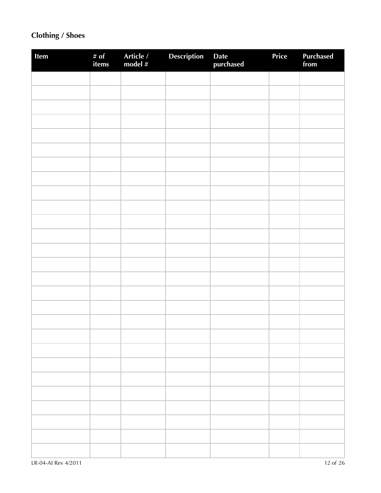## **Clothing / Shoes**

| Item | # of<br>items | Article /<br>model # | <b>Description</b> | Date<br>purchased | Price | Purchased<br>from |
|------|---------------|----------------------|--------------------|-------------------|-------|-------------------|
|      |               |                      |                    |                   |       |                   |
|      |               |                      |                    |                   |       |                   |
|      |               |                      |                    |                   |       |                   |
|      |               |                      |                    |                   |       |                   |
|      |               |                      |                    |                   |       |                   |
|      |               |                      |                    |                   |       |                   |
|      |               |                      |                    |                   |       |                   |
|      |               |                      |                    |                   |       |                   |
|      |               |                      |                    |                   |       |                   |
|      |               |                      |                    |                   |       |                   |
|      |               |                      |                    |                   |       |                   |
|      |               |                      |                    |                   |       |                   |
|      |               |                      |                    |                   |       |                   |
|      |               |                      |                    |                   |       |                   |
|      |               |                      |                    |                   |       |                   |
|      |               |                      |                    |                   |       |                   |
|      |               |                      |                    |                   |       |                   |
|      |               |                      |                    |                   |       |                   |
|      |               |                      |                    |                   |       |                   |
|      |               |                      |                    |                   |       |                   |
|      |               |                      |                    |                   |       |                   |
|      |               |                      |                    |                   |       |                   |
|      |               |                      |                    |                   |       |                   |
|      |               |                      |                    |                   |       |                   |
|      |               |                      |                    |                   |       |                   |
|      |               |                      |                    |                   |       |                   |
|      |               |                      |                    |                   |       |                   |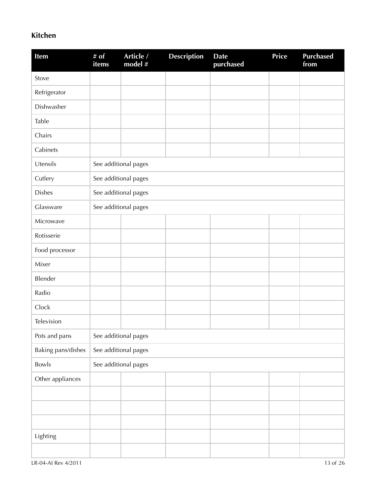### **Kitchen**

| Item               | # $of$<br>items | Article /<br>model # | <b>Description</b> | <b>Date</b><br>purchased | <b>Price</b> | <b>Purchased</b><br>from |
|--------------------|-----------------|----------------------|--------------------|--------------------------|--------------|--------------------------|
| Stove              |                 |                      |                    |                          |              |                          |
| Refrigerator       |                 |                      |                    |                          |              |                          |
| Dishwasher         |                 |                      |                    |                          |              |                          |
| Table              |                 |                      |                    |                          |              |                          |
| Chairs             |                 |                      |                    |                          |              |                          |
| Cabinets           |                 |                      |                    |                          |              |                          |
| Utensils           |                 | See additional pages |                    |                          |              |                          |
| Cutlery            |                 | See additional pages |                    |                          |              |                          |
| <b>Dishes</b>      |                 | See additional pages |                    |                          |              |                          |
| Glassware          |                 | See additional pages |                    |                          |              |                          |
| Microwave          |                 |                      |                    |                          |              |                          |
| Rotisserie         |                 |                      |                    |                          |              |                          |
| Food processor     |                 |                      |                    |                          |              |                          |
| Mixer              |                 |                      |                    |                          |              |                          |
| Blender            |                 |                      |                    |                          |              |                          |
| Radio              |                 |                      |                    |                          |              |                          |
| Clock              |                 |                      |                    |                          |              |                          |
| Television         |                 |                      |                    |                          |              |                          |
| Pots and pans      |                 | See additional pages |                    |                          |              |                          |
| Baking pans/dishes |                 | See additional pages |                    |                          |              |                          |
| Bowls              |                 | See additional pages |                    |                          |              |                          |
| Other appliances   |                 |                      |                    |                          |              |                          |
|                    |                 |                      |                    |                          |              |                          |
|                    |                 |                      |                    |                          |              |                          |
|                    |                 |                      |                    |                          |              |                          |
| Lighting           |                 |                      |                    |                          |              |                          |
|                    |                 |                      |                    |                          |              |                          |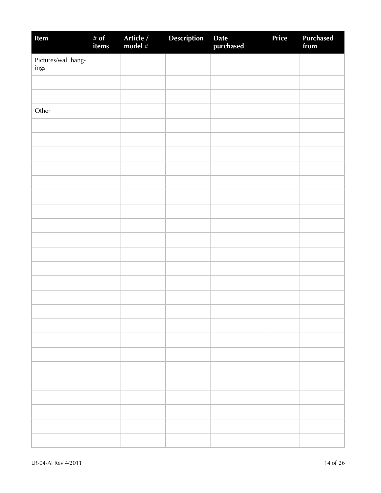| Item                        | # of<br>items | Article /<br>model # | <b>Description</b> | Date<br>purchased | Price | <b>Purchased</b><br>from |
|-----------------------------|---------------|----------------------|--------------------|-------------------|-------|--------------------------|
| Pictures/wall hang-<br>ings |               |                      |                    |                   |       |                          |
|                             |               |                      |                    |                   |       |                          |
|                             |               |                      |                    |                   |       |                          |
| Other                       |               |                      |                    |                   |       |                          |
|                             |               |                      |                    |                   |       |                          |
|                             |               |                      |                    |                   |       |                          |
|                             |               |                      |                    |                   |       |                          |
|                             |               |                      |                    |                   |       |                          |
|                             |               |                      |                    |                   |       |                          |
|                             |               |                      |                    |                   |       |                          |
|                             |               |                      |                    |                   |       |                          |
|                             |               |                      |                    |                   |       |                          |
|                             |               |                      |                    |                   |       |                          |
|                             |               |                      |                    |                   |       |                          |
|                             |               |                      |                    |                   |       |                          |
|                             |               |                      |                    |                   |       |                          |
|                             |               |                      |                    |                   |       |                          |
|                             |               |                      |                    |                   |       |                          |
|                             |               |                      |                    |                   |       |                          |
|                             |               |                      |                    |                   |       |                          |
|                             |               |                      |                    |                   |       |                          |
|                             |               |                      |                    |                   |       |                          |
|                             |               |                      |                    |                   |       |                          |
|                             |               |                      |                    |                   |       |                          |
|                             |               |                      |                    |                   |       |                          |
|                             |               |                      |                    |                   |       |                          |
|                             |               |                      |                    |                   |       |                          |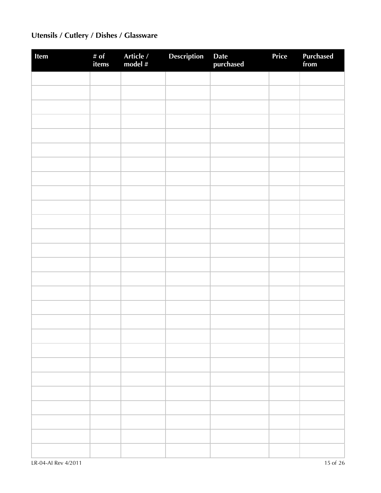# **Utensils / Cutlery / Dishes / Glassware**

| Item | # of<br>items | Article /<br>model # | Description | Date<br>purchased | Price | Purchased<br>from |
|------|---------------|----------------------|-------------|-------------------|-------|-------------------|
|      |               |                      |             |                   |       |                   |
|      |               |                      |             |                   |       |                   |
|      |               |                      |             |                   |       |                   |
|      |               |                      |             |                   |       |                   |
|      |               |                      |             |                   |       |                   |
|      |               |                      |             |                   |       |                   |
|      |               |                      |             |                   |       |                   |
|      |               |                      |             |                   |       |                   |
|      |               |                      |             |                   |       |                   |
|      |               |                      |             |                   |       |                   |
|      |               |                      |             |                   |       |                   |
|      |               |                      |             |                   |       |                   |
|      |               |                      |             |                   |       |                   |
|      |               |                      |             |                   |       |                   |
|      |               |                      |             |                   |       |                   |
|      |               |                      |             |                   |       |                   |
|      |               |                      |             |                   |       |                   |
|      |               |                      |             |                   |       |                   |
|      |               |                      |             |                   |       |                   |
|      |               |                      |             |                   |       |                   |
|      |               |                      |             |                   |       |                   |
|      |               |                      |             |                   |       |                   |
|      |               |                      |             |                   |       |                   |
|      |               |                      |             |                   |       |                   |
|      |               |                      |             |                   |       |                   |
|      |               |                      |             |                   |       |                   |
|      |               |                      |             |                   |       |                   |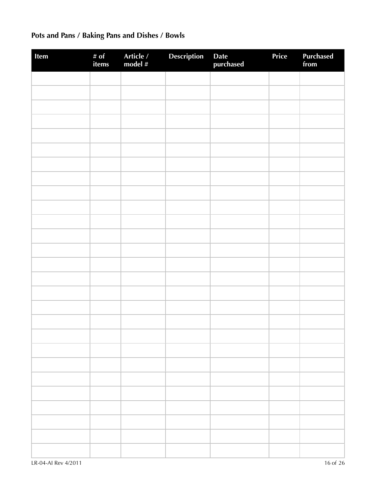# **Pots and Pans / Baking Pans and Dishes / Bowls**

| Item | # of<br>items | Article /<br>model # | <b>Description</b> | Date<br>purchased | Price | <b>Purchased</b><br>from |
|------|---------------|----------------------|--------------------|-------------------|-------|--------------------------|
|      |               |                      |                    |                   |       |                          |
|      |               |                      |                    |                   |       |                          |
|      |               |                      |                    |                   |       |                          |
|      |               |                      |                    |                   |       |                          |
|      |               |                      |                    |                   |       |                          |
|      |               |                      |                    |                   |       |                          |
|      |               |                      |                    |                   |       |                          |
|      |               |                      |                    |                   |       |                          |
|      |               |                      |                    |                   |       |                          |
|      |               |                      |                    |                   |       |                          |
|      |               |                      |                    |                   |       |                          |
|      |               |                      |                    |                   |       |                          |
|      |               |                      |                    |                   |       |                          |
|      |               |                      |                    |                   |       |                          |
|      |               |                      |                    |                   |       |                          |
|      |               |                      |                    |                   |       |                          |
|      |               |                      |                    |                   |       |                          |
|      |               |                      |                    |                   |       |                          |
|      |               |                      |                    |                   |       |                          |
|      |               |                      |                    |                   |       |                          |
|      |               |                      |                    |                   |       |                          |
|      |               |                      |                    |                   |       |                          |
|      |               |                      |                    |                   |       |                          |
|      |               |                      |                    |                   |       |                          |
|      |               |                      |                    |                   |       |                          |
|      |               |                      |                    |                   |       |                          |
|      |               |                      |                    |                   |       |                          |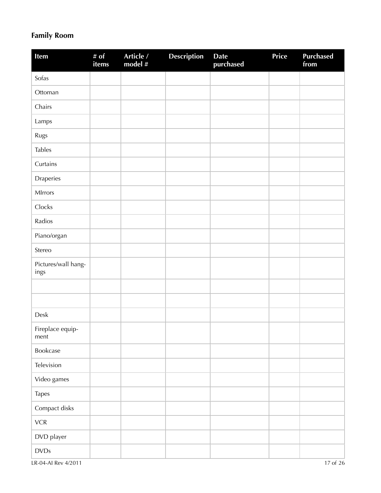## **Family Room**

| Item                        | # of<br>items | Article /<br>model # | <b>Description</b> | <b>Date</b><br>purchased | Price | <b>Purchased</b><br>from |
|-----------------------------|---------------|----------------------|--------------------|--------------------------|-------|--------------------------|
| Sofas                       |               |                      |                    |                          |       |                          |
| Ottoman                     |               |                      |                    |                          |       |                          |
| Chairs                      |               |                      |                    |                          |       |                          |
| Lamps                       |               |                      |                    |                          |       |                          |
| Rugs                        |               |                      |                    |                          |       |                          |
| <b>Tables</b>               |               |                      |                    |                          |       |                          |
| Curtains                    |               |                      |                    |                          |       |                          |
| Draperies                   |               |                      |                    |                          |       |                          |
| MIrrors                     |               |                      |                    |                          |       |                          |
| Clocks                      |               |                      |                    |                          |       |                          |
| Radios                      |               |                      |                    |                          |       |                          |
| Piano/organ                 |               |                      |                    |                          |       |                          |
| Stereo                      |               |                      |                    |                          |       |                          |
| Pictures/wall hang-<br>ings |               |                      |                    |                          |       |                          |
|                             |               |                      |                    |                          |       |                          |
|                             |               |                      |                    |                          |       |                          |
| Desk                        |               |                      |                    |                          |       |                          |
| Fireplace equip-<br>ment    |               |                      |                    |                          |       |                          |
| Bookcase                    |               |                      |                    |                          |       |                          |
| Television                  |               |                      |                    |                          |       |                          |
| Video games                 |               |                      |                    |                          |       |                          |
| <b>Tapes</b>                |               |                      |                    |                          |       |                          |
| Compact disks               |               |                      |                    |                          |       |                          |
| ${\sf VCR}$                 |               |                      |                    |                          |       |                          |
| DVD player                  |               |                      |                    |                          |       |                          |
| $\textsf{DVDs}$             |               |                      |                    |                          |       |                          |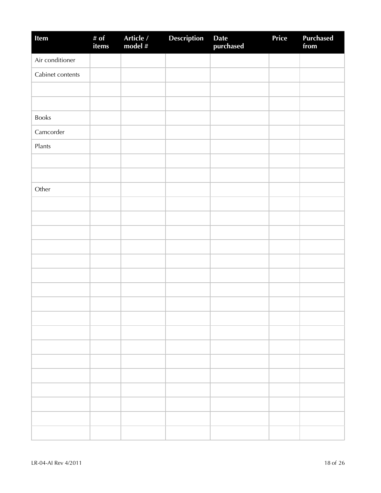| Item             | # $of$<br>items | Article /<br>model # | <b>Description</b> | Date<br>purchased | Price | <b>Purchased</b><br>from |
|------------------|-----------------|----------------------|--------------------|-------------------|-------|--------------------------|
| Air conditioner  |                 |                      |                    |                   |       |                          |
| Cabinet contents |                 |                      |                    |                   |       |                          |
|                  |                 |                      |                    |                   |       |                          |
|                  |                 |                      |                    |                   |       |                          |
| Books            |                 |                      |                    |                   |       |                          |
| Camcorder        |                 |                      |                    |                   |       |                          |
| Plants           |                 |                      |                    |                   |       |                          |
|                  |                 |                      |                    |                   |       |                          |
|                  |                 |                      |                    |                   |       |                          |
| Other            |                 |                      |                    |                   |       |                          |
|                  |                 |                      |                    |                   |       |                          |
|                  |                 |                      |                    |                   |       |                          |
|                  |                 |                      |                    |                   |       |                          |
|                  |                 |                      |                    |                   |       |                          |
|                  |                 |                      |                    |                   |       |                          |
|                  |                 |                      |                    |                   |       |                          |
|                  |                 |                      |                    |                   |       |                          |
|                  |                 |                      |                    |                   |       |                          |
|                  |                 |                      |                    |                   |       |                          |
|                  |                 |                      |                    |                   |       |                          |
|                  |                 |                      |                    |                   |       |                          |
|                  |                 |                      |                    |                   |       |                          |
|                  |                 |                      |                    |                   |       |                          |
|                  |                 |                      |                    |                   |       |                          |
|                  |                 |                      |                    |                   |       |                          |
|                  |                 |                      |                    |                   |       |                          |
|                  |                 |                      |                    |                   |       |                          |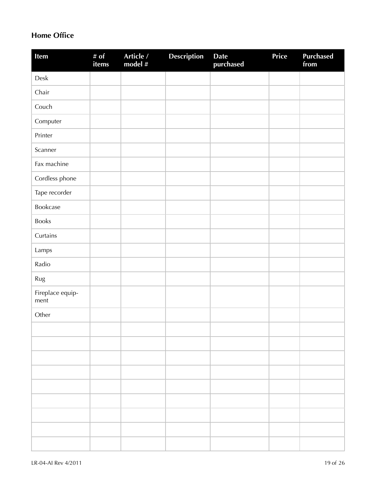### **Home Office**

| Item                     | # $of$<br>items | Article /<br>model # | <b>Description</b> | <b>Date</b><br>purchased | <b>Price</b> | <b>Purchased</b><br>from |
|--------------------------|-----------------|----------------------|--------------------|--------------------------|--------------|--------------------------|
| ${\sf Desk}$             |                 |                      |                    |                          |              |                          |
| Chair                    |                 |                      |                    |                          |              |                          |
| Couch                    |                 |                      |                    |                          |              |                          |
| Computer                 |                 |                      |                    |                          |              |                          |
| Printer                  |                 |                      |                    |                          |              |                          |
| Scanner                  |                 |                      |                    |                          |              |                          |
| Fax machine              |                 |                      |                    |                          |              |                          |
| Cordless phone           |                 |                      |                    |                          |              |                          |
| Tape recorder            |                 |                      |                    |                          |              |                          |
| Bookcase                 |                 |                      |                    |                          |              |                          |
| Books                    |                 |                      |                    |                          |              |                          |
| Curtains                 |                 |                      |                    |                          |              |                          |
| Lamps                    |                 |                      |                    |                          |              |                          |
| Radio                    |                 |                      |                    |                          |              |                          |
| Rug                      |                 |                      |                    |                          |              |                          |
| Fireplace equip-<br>ment |                 |                      |                    |                          |              |                          |
| Other                    |                 |                      |                    |                          |              |                          |
|                          |                 |                      |                    |                          |              |                          |
|                          |                 |                      |                    |                          |              |                          |
|                          |                 |                      |                    |                          |              |                          |
|                          |                 |                      |                    |                          |              |                          |
|                          |                 |                      |                    |                          |              |                          |
|                          |                 |                      |                    |                          |              |                          |
|                          |                 |                      |                    |                          |              |                          |
|                          |                 |                      |                    |                          |              |                          |
|                          |                 |                      |                    |                          |              |                          |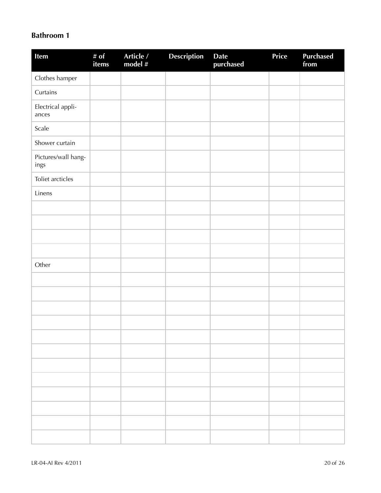#### **Bathroom 1**

| Item                        | # of<br>items | Article /<br>model # | <b>Description</b> | <b>Date</b><br>purchased | Price | <b>Purchased</b><br>from |
|-----------------------------|---------------|----------------------|--------------------|--------------------------|-------|--------------------------|
| Clothes hamper              |               |                      |                    |                          |       |                          |
| Curtains                    |               |                      |                    |                          |       |                          |
| Electrical appli-<br>ances  |               |                      |                    |                          |       |                          |
| Scale                       |               |                      |                    |                          |       |                          |
| Shower curtain              |               |                      |                    |                          |       |                          |
| Pictures/wall hang-<br>ings |               |                      |                    |                          |       |                          |
| Toliet arcticles            |               |                      |                    |                          |       |                          |
| Linens                      |               |                      |                    |                          |       |                          |
|                             |               |                      |                    |                          |       |                          |
|                             |               |                      |                    |                          |       |                          |
|                             |               |                      |                    |                          |       |                          |
|                             |               |                      |                    |                          |       |                          |
| Other                       |               |                      |                    |                          |       |                          |
|                             |               |                      |                    |                          |       |                          |
|                             |               |                      |                    |                          |       |                          |
|                             |               |                      |                    |                          |       |                          |
|                             |               |                      |                    |                          |       |                          |
|                             |               |                      |                    |                          |       |                          |
|                             |               |                      |                    |                          |       |                          |
|                             |               |                      |                    |                          |       |                          |
|                             |               |                      |                    |                          |       |                          |
|                             |               |                      |                    |                          |       |                          |
|                             |               |                      |                    |                          |       |                          |
|                             |               |                      |                    |                          |       |                          |
|                             |               |                      |                    |                          |       |                          |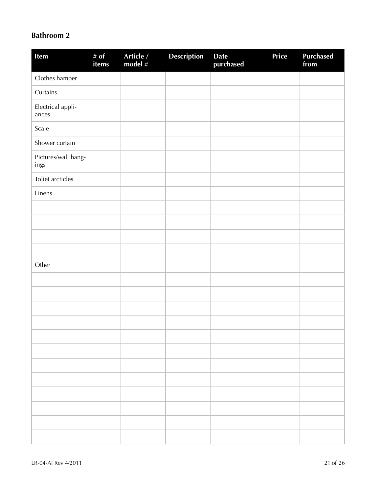### **Bathroom 2**

| Item                        | # $of$<br>items | Article /<br>model # | Description | <b>Date</b><br>purchased | Price | <b>Purchased</b><br>from |
|-----------------------------|-----------------|----------------------|-------------|--------------------------|-------|--------------------------|
| Clothes hamper              |                 |                      |             |                          |       |                          |
| Curtains                    |                 |                      |             |                          |       |                          |
| Electrical appli-<br>ances  |                 |                      |             |                          |       |                          |
| Scale                       |                 |                      |             |                          |       |                          |
| Shower curtain              |                 |                      |             |                          |       |                          |
| Pictures/wall hang-<br>ings |                 |                      |             |                          |       |                          |
| Toliet arcticles            |                 |                      |             |                          |       |                          |
| Linens                      |                 |                      |             |                          |       |                          |
|                             |                 |                      |             |                          |       |                          |
|                             |                 |                      |             |                          |       |                          |
|                             |                 |                      |             |                          |       |                          |
|                             |                 |                      |             |                          |       |                          |
| Other                       |                 |                      |             |                          |       |                          |
|                             |                 |                      |             |                          |       |                          |
|                             |                 |                      |             |                          |       |                          |
|                             |                 |                      |             |                          |       |                          |
|                             |                 |                      |             |                          |       |                          |
|                             |                 |                      |             |                          |       |                          |
|                             |                 |                      |             |                          |       |                          |
|                             |                 |                      |             |                          |       |                          |
|                             |                 |                      |             |                          |       |                          |
|                             |                 |                      |             |                          |       |                          |
|                             |                 |                      |             |                          |       |                          |
|                             |                 |                      |             |                          |       |                          |
|                             |                 |                      |             |                          |       |                          |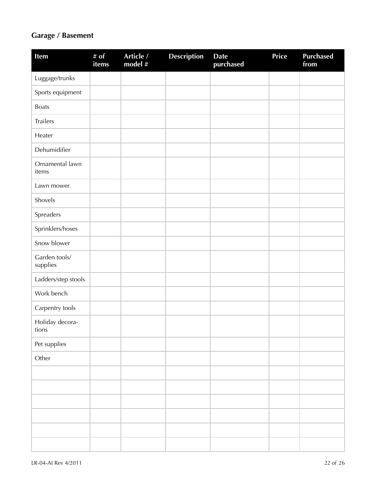### **Garage / Basement**

| Item                      | # $\overline{of}$<br>items | Article /<br>model # | <b>Description</b> | <b>Date</b><br>purchased | Price | <b>Purchased</b><br>from |
|---------------------------|----------------------------|----------------------|--------------------|--------------------------|-------|--------------------------|
| Luggage/trunks            |                            |                      |                    |                          |       |                          |
| Sports equipment          |                            |                      |                    |                          |       |                          |
| <b>Boats</b>              |                            |                      |                    |                          |       |                          |
| Trailers                  |                            |                      |                    |                          |       |                          |
| Heater                    |                            |                      |                    |                          |       |                          |
| Dehumidifier              |                            |                      |                    |                          |       |                          |
| Ornamental lawn<br>items  |                            |                      |                    |                          |       |                          |
| Lawn mower                |                            |                      |                    |                          |       |                          |
| Shovels                   |                            |                      |                    |                          |       |                          |
| Spreaders                 |                            |                      |                    |                          |       |                          |
| Sprinklers/hoses          |                            |                      |                    |                          |       |                          |
| Snow blower               |                            |                      |                    |                          |       |                          |
| Garden tools/<br>supplies |                            |                      |                    |                          |       |                          |
| Ladders/step stools       |                            |                      |                    |                          |       |                          |
| Work bench                |                            |                      |                    |                          |       |                          |
| Carpentry tools           |                            |                      |                    |                          |       |                          |
| Holiday decora-<br>tions  |                            |                      |                    |                          |       |                          |
| Pet supplies              |                            |                      |                    |                          |       |                          |
| Other                     |                            |                      |                    |                          |       |                          |
|                           |                            |                      |                    |                          |       |                          |
|                           |                            |                      |                    |                          |       |                          |
|                           |                            |                      |                    |                          |       |                          |
|                           |                            |                      |                    |                          |       |                          |
|                           |                            |                      |                    |                          |       |                          |
|                           |                            |                      |                    |                          |       |                          |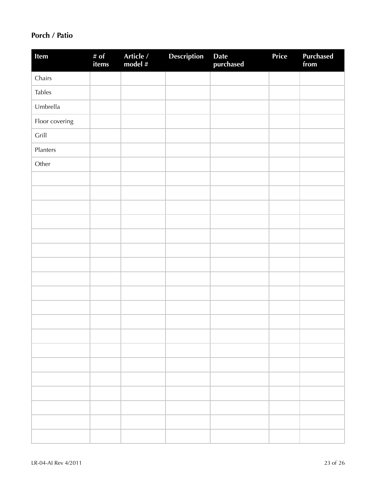### **Porch / Patio**

| Item           | # of<br>items | Article /<br>model # | <b>Description</b> | Date<br>purchased | Price | <b>Purchased</b><br>from |
|----------------|---------------|----------------------|--------------------|-------------------|-------|--------------------------|
| Chairs         |               |                      |                    |                   |       |                          |
| <b>Tables</b>  |               |                      |                    |                   |       |                          |
| Umbrella       |               |                      |                    |                   |       |                          |
| Floor covering |               |                      |                    |                   |       |                          |
| Grill          |               |                      |                    |                   |       |                          |
| Planters       |               |                      |                    |                   |       |                          |
| Other          |               |                      |                    |                   |       |                          |
|                |               |                      |                    |                   |       |                          |
|                |               |                      |                    |                   |       |                          |
|                |               |                      |                    |                   |       |                          |
|                |               |                      |                    |                   |       |                          |
|                |               |                      |                    |                   |       |                          |
|                |               |                      |                    |                   |       |                          |
|                |               |                      |                    |                   |       |                          |
|                |               |                      |                    |                   |       |                          |
|                |               |                      |                    |                   |       |                          |
|                |               |                      |                    |                   |       |                          |
|                |               |                      |                    |                   |       |                          |
|                |               |                      |                    |                   |       |                          |
|                |               |                      |                    |                   |       |                          |
|                |               |                      |                    |                   |       |                          |
|                |               |                      |                    |                   |       |                          |
|                |               |                      |                    |                   |       |                          |
|                |               |                      |                    |                   |       |                          |
|                |               |                      |                    |                   |       |                          |
|                |               |                      |                    |                   |       |                          |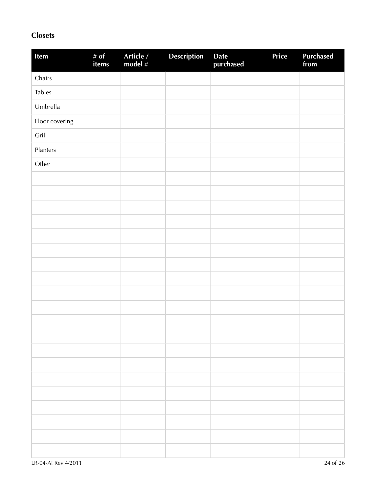### **Closets**

| Item           | # of<br>items | Article /<br>model # | <b>Description</b> | Date<br>purchased | Price | Purchased<br>from |
|----------------|---------------|----------------------|--------------------|-------------------|-------|-------------------|
| Chairs         |               |                      |                    |                   |       |                   |
| <b>Tables</b>  |               |                      |                    |                   |       |                   |
| Umbrella       |               |                      |                    |                   |       |                   |
| Floor covering |               |                      |                    |                   |       |                   |
| Grill          |               |                      |                    |                   |       |                   |
| Planters       |               |                      |                    |                   |       |                   |
| Other          |               |                      |                    |                   |       |                   |
|                |               |                      |                    |                   |       |                   |
|                |               |                      |                    |                   |       |                   |
|                |               |                      |                    |                   |       |                   |
|                |               |                      |                    |                   |       |                   |
|                |               |                      |                    |                   |       |                   |
|                |               |                      |                    |                   |       |                   |
|                |               |                      |                    |                   |       |                   |
|                |               |                      |                    |                   |       |                   |
|                |               |                      |                    |                   |       |                   |
|                |               |                      |                    |                   |       |                   |
|                |               |                      |                    |                   |       |                   |
|                |               |                      |                    |                   |       |                   |
|                |               |                      |                    |                   |       |                   |
|                |               |                      |                    |                   |       |                   |
|                |               |                      |                    |                   |       |                   |
|                |               |                      |                    |                   |       |                   |
|                |               |                      |                    |                   |       |                   |
|                |               |                      |                    |                   |       |                   |
|                |               |                      |                    |                   |       |                   |
|                |               |                      |                    |                   |       |                   |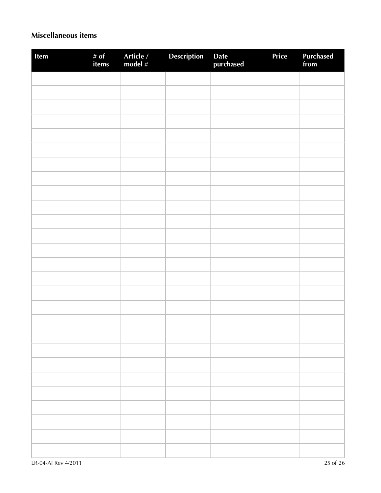### **Miscellaneous items**

| Item | # of<br>items | Article /<br>model # | Description | Date<br>purchased | Price | Purchased<br>from |
|------|---------------|----------------------|-------------|-------------------|-------|-------------------|
|      |               |                      |             |                   |       |                   |
|      |               |                      |             |                   |       |                   |
|      |               |                      |             |                   |       |                   |
|      |               |                      |             |                   |       |                   |
|      |               |                      |             |                   |       |                   |
|      |               |                      |             |                   |       |                   |
|      |               |                      |             |                   |       |                   |
|      |               |                      |             |                   |       |                   |
|      |               |                      |             |                   |       |                   |
|      |               |                      |             |                   |       |                   |
|      |               |                      |             |                   |       |                   |
|      |               |                      |             |                   |       |                   |
|      |               |                      |             |                   |       |                   |
|      |               |                      |             |                   |       |                   |
|      |               |                      |             |                   |       |                   |
|      |               |                      |             |                   |       |                   |
|      |               |                      |             |                   |       |                   |
|      |               |                      |             |                   |       |                   |
|      |               |                      |             |                   |       |                   |
|      |               |                      |             |                   |       |                   |
|      |               |                      |             |                   |       |                   |
|      |               |                      |             |                   |       |                   |
|      |               |                      |             |                   |       |                   |
|      |               |                      |             |                   |       |                   |
|      |               |                      |             |                   |       |                   |
|      |               |                      |             |                   |       |                   |
|      |               |                      |             |                   |       |                   |